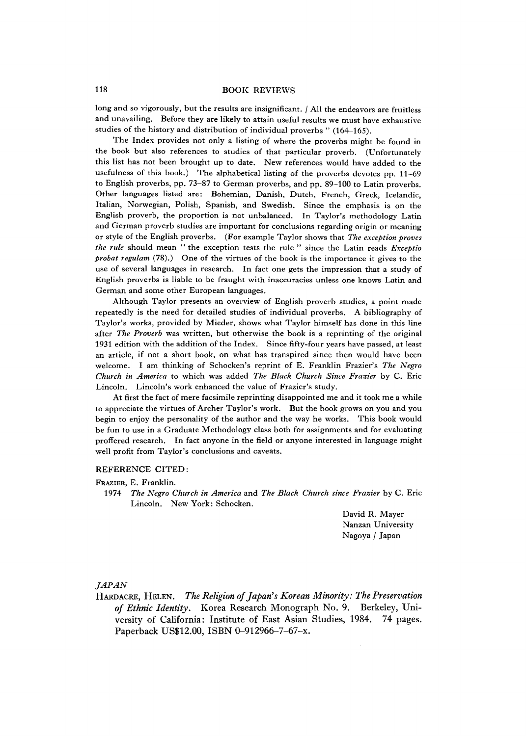## 118 BOOK REVIEWS

long and so vigorously, but the results are insignificant. / All the endeavors are fruitless and unavailing. Before they are likely to attain useful results we must have exhaustive studies of the history and distribution of individual proverbs " (164-165).

The Index provides not only a listing of where the proverbs might be found in the book but also references to studies of that particular proverb. (Unfortunately this list has not been brought up to date. New references would have added to the usefulness of this book.) The alphabetical listing of the proverbs devotes pp. 11-69 to English proverbs, pp. 73-87 to German proverbs, and pp. 89-100 to Latin proverbs. Other languages listed are: Bohemian, Danish, Dutch, French, Greek, Icelandic, Italian, Norwegian, Polish, Spanish, and Swedish. Since the emphasis is on the English proverb, the proportion is not unbalanced. In Taylor's methodology Latin and German proverb studies are important for conclusions regarding origin or meaning or style of the English proverbs. (For example Taylor shows that *The exception proves the rule* should mean '' the exception tests the rule " since the Latin reads *Exceptio probat regulam* (78).) One of the virtues of the book is the importance it gives to the use of several languages in research. In fact one gets the impression that a study of English proverbs is liable to be fraught with inaccuracies unless one knows Latin and German and some other European languages.

Although Taylor presents an overview of English proverb studies, a point made repeatedly is the need for detailed studies or individual proverbs. A bibliography of Taylor's works, provided by Mieder, shows what Taylor himself has done in this line after *The Proverb* was written, but otherwise the book is a reprinting of the original 1931 edition with the addition of the Index. Since fifty-four years have passed, at least an article, if not a short book, on what has transpired since then would have been welcome. I am thinking of Schocken's reprint of E. Franklin Frazier's *The Negro Church in America* to which was added *The Black Church Since Frazier* by C. Eric Lincoln. Lincoln's work enhanced the value of Frazier's study.

At first the fact of mere facsimile reprinting disappointed me and it took me a while to appreciate the virtues of Archer Taylor's work. But the book grows on you and you begin to enjoy the personality of the author and the way he works. This book would be fun to use in a Graduate Methodology class both for assignments and for evaluating proffered research. In fact anyone in the field or anyone interested in language might well profit from Taylor's conclusions and caveats.

### REFERENCE CITED

Frazier, E. Franklin.

1974 *The Negro Church in America* and *The Black Church since Frazier* by C. Eric Lincoln. New York: Schocken.

> David R. Mayer Nanzan University Nagoya / Japan

*JA P A N*

HARDACRE, HELEN. *The Religion of Japan's Korean Minority: The Preservation of Ethnic Identity.* Korea Research Monograph No. 9. Berkeley, University of California: Institute of East Asian Studies, 1984. 74 pages. Paperback US\$12.00, ISBN 0-912966-7-67~x.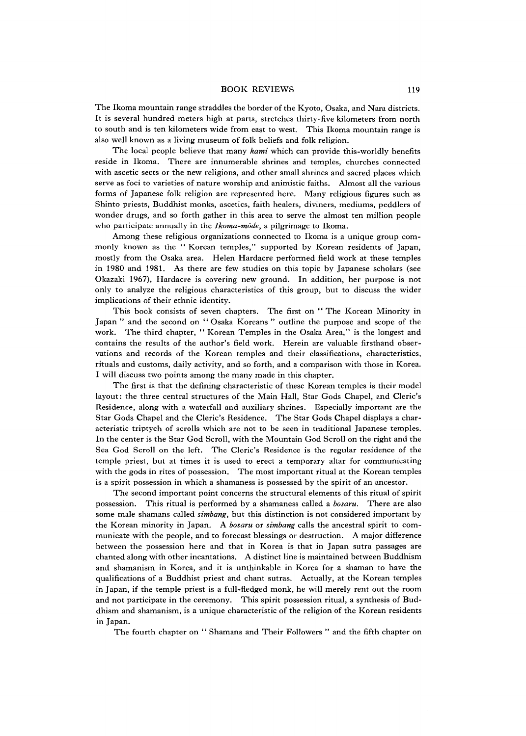#### BOOK REVIEWS 119

The Ikoma mountain range straddles the border of the Kyoto, Osaka, and Nara districts. It is several hundred meters high at parts, stretches thirty-five kilometers from north to south and is ten kilometers wide from east to west. This Ikoma mountain range is also well known as a living museum of folk beliefs and folk religion.

The local people believe that many *kami* which can provide this-worldly benefits reside in Ikoma. There are innumerable shrines and temples, churches connected with ascetic sects or the new religions, and other small shrines and sacred places which serve as foci to varieties of nature worship and animistic faiths. Almost all the various forms of Japanese folk religion are represented here. Many religious figures such as shinto priests, Buddhist monks, ascetics, faith healers, diviners, mediums, peddlers of wonder drugs, and so forth gather in this area to serve the almost ten million people who participate annually in the *Ikoma-mode*, a pilgrimage to Ikoma.

Among these religious organizations connected to Ikoma is a unique group commonly known as the " Korean temples," supported by Korean residents of Japan, mostly from the Osaka area. Helen Hardacre performed field work at these temples in 1980 and 1981. As there are few studies on this topic by Japanese scholars (see Okazaki 1967), Hardacre is covering new ground. In addition, her purpose is not only to analyze the religious characteristics of this group, but to discuss the wider implications of their ethnic identity.

This book consists of seven chapters. The first on "The Korean Minority in Japan " and the second on " Osaka Koreans " outline the purpose and scope of the work. The third chapter, " Korean Temples in the Osaka Area," is the longest and contains the results of the author's field work. Herein are valuable firsthand observations and records of the Korean temples and their classifications, characteristics, rituals and customs, daily activity, and so forth, and a comparison with those in Korea. I will discuss two points among the many made in this chapter.

The first is that the defining characteristic of these Korean temples is their model layout: the three central structures of the Main Hall, Star Gods Chapel, and Cleric's Residence, along with a waterfall and auxiliary shrines. Especially important are the Star Gods Chapel and the Cleric's Residence. The Star Gods Chapel displays a characteristic triptych of scrolls which are not to be seen in traditional Japanese temples. In the center is the Star God Scroll, with the Mountain God Scroll on the right and the Sea God Scroll on the left. The Cleric's Residence is the regular residence of the temple priest, but at times it is used to erect a temporary altar for communicating with the gods in rites of possession. The most important ritual at the Korean temples is a spirit possession in which a shamaness is possessed by the spirit of an ancestor.

The second important point concerns the structural elements of this ritual of spirit possession. This ritual is performed by a shamaness called a *bosaru.* There are also some male shamans called *simbang* but this distinction is not considered important by the Korean minority in Japan. A *bosaru* or *simbang* calls the ancestral spirit to communicate with the people, and to forecast blessings or destruction. A major difference between the possession here and that in Korea is that in Japan sutra passages are chanted along with other incantations. A distinct line is maintained between Buddhism and shamanism in Korea, and it is unthinkable in Korea for a shaman to have the qualifications of a Buddhist priest and chant sutras. Actually, at the Korean temples in Japan, if the temple priest is a full-fledged monk, he will merely rent out the room and not participate in the ceremony. This spirit possession ritual, a synthesis of Buddhism and shamanism, is a unique characteristic of the religion of the Korean residents in Japan.

The fourth chapter on " Shamans and Their Followers " and the fifth chapter on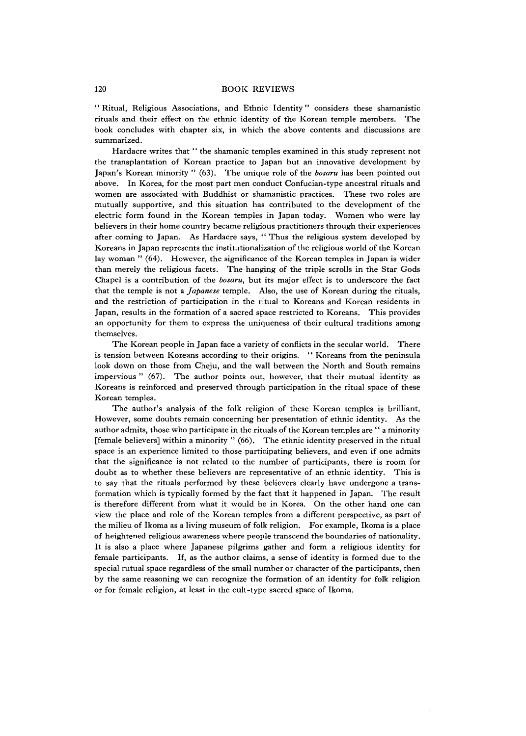#### 120 BOOK REVIEWS

" Ritual, Religious Associations, and Ethnic Identity" considers these shamanistic rituals and their effect on the ethnic identity of the Korean temple members. The book concludes with chapter six, in which the above contents and discussions are summarized.

Hardacre writes that " the shamanic temples examined in this study represent not the transplantation of Korean practice to Japan but an innovative development by Japan's Korean minority '' (63). The unique role of the *bosaru* has been pointed out above. In Korea, for the most part men conduct Confucian-type ancestral rituals and women are associated with Buddhist or shamanistic practices. These two roles are mutually supportive, and this situation has contributed to the development of the electric form found in the Korean temples in Japan today. Women who were lay believers in their home country became religious practitioners through their experiences after coming to Japan. As Hardacre says, '' Thus the religious system developed by Koreans in Japan represents the institutionalization of the religious world of the Korean lay woman " (64). However, the significance of the Korean temples in Japan is wider than merely the religious facets. The hanging of the triple scrolls in the Star Gods Chapel is a contribution of the *bosaru'* but its major effect is to underscore the fact that the temple is not a *Japanese* temple. Also, the use of Korean during the rituals, and the restriction of participation in the ritual to Koreans and Korean residents in Japan, results in the formation of a sacred space restricted to Koreans. This provides an opportunity for them to express the uniqueness of their cultural traditions among themselves.

The Korean people in Japan face a variety of conflicts in the secular world. There is tension between Koreans according to their origins. " Koreans from the peninsula look down on those from Cheju, and the wall between the North and South remains impervious ' (67). The author points out, however, that their mutual identity as Koreans is reinforced and preserved through participation in the ritual space of these Korean temples.

The author's analysis of the folk religion of these Korean temples is brilliant. However, some doubts remain concerning her presentation of ethnic identity. As the author admits, those who participate in the rituals of the Korean temples are " a minority [female believers] within a minority " (66). The ethnic identity preserved in the ritual space is an experience limited to those participating believers, and even if one admits that the significance is not related to the number of participants, there is room for doubt as to whether these believers are representative of an ethnic identity. This is to say that the rituals performed by these believers clearly have undergone a transformation which is typically formed by the fact that it happened in Japan. The result is therefore different from what it would be in Korea. On the other hand one can view the place and role of the Korean temples from a different perspective, as part of the milieu of Ikoma as a living museum of folk religion. For example, Ikoma is a place of heightened religious awareness where people transcend the boundaries of nationality. It is also a place where Japanese pilgrims gather and form a religious identity for female participants. If, as the author claims, a sense of identity is formed due to the special rutual space regardless of the small number or character of the participants, then by the same reasoning we can recognize the formation of an identity for folk religion or for female religion, at least in the cult-type sacred space of Ikoma.